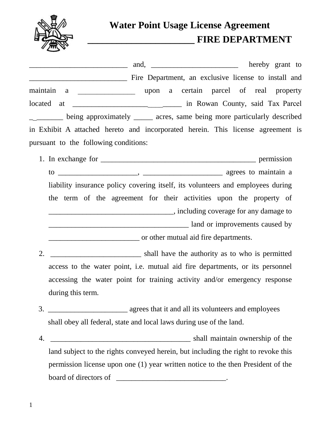

## **Water Point Usage License Agreement \_\_\_\_\_\_\_\_\_\_\_\_\_\_\_\_\_\_\_\_\_\_ FIRE DEPARTMENT**

\_\_\_\_\_\_\_\_\_\_\_\_\_\_\_\_\_\_\_\_\_\_\_\_\_\_ and, \_\_\_\_\_\_\_\_\_\_\_\_\_\_\_\_\_\_\_\_\_\_\_ hereby grant to Fire Department, an exclusive license to install and maintain a \_\_\_\_\_\_\_\_\_\_\_\_\_\_\_ upon a certain parcel of real property located at \_\_\_\_\_\_\_\_\_\_\_\_\_\_\_\_\_\_\_\_\_\_\_\_\_\_\_\_\_\_\_\_\_ in Rowan County, said Tax Parcel \_\_\_\_\_\_\_\_\_ being approximately \_\_\_\_\_ acres, same being more particularly described in Exhibit A attached hereto and incorporated herein. This license agreement is pursuant to the following conditions:

- 1. In exchange for \_\_\_\_\_\_\_\_\_\_\_\_\_\_\_\_\_\_\_\_\_\_\_\_\_\_\_\_\_\_\_\_\_\_\_\_\_\_\_\_\_ permission to \_\_\_\_\_\_\_\_\_\_\_\_\_\_\_\_\_\_\_\_\_, \_\_\_\_\_\_\_\_\_\_\_\_\_\_\_\_\_\_\_\_\_ agrees to maintain a liability insurance policy covering itself, its volunteers and employees during the term of the agreement for their activities upon the property of \_\_\_\_\_\_\_\_\_\_\_\_\_\_\_\_\_\_\_\_\_\_\_\_\_\_\_\_\_\_\_\_\_, including coverage for any damage to \_\_\_\_\_\_\_\_\_\_\_\_\_\_\_\_\_\_\_\_\_\_\_\_\_\_\_\_\_\_\_\_\_\_\_\_\_ land or improvements caused by \_\_\_\_\_\_\_\_\_\_\_\_\_\_\_\_\_\_\_\_\_\_\_\_ or other mutual aid fire departments.
- 2. \_\_\_\_\_\_\_\_\_\_\_\_\_\_\_\_\_\_\_\_\_\_\_\_\_\_ shall have the authority as to who is permitted access to the water point, i.e. mutual aid fire departments, or its personnel accessing the water point for training activity and/or emergency response during this term.
- 3. \_\_\_\_\_\_\_\_\_\_\_\_\_\_\_\_\_\_\_\_\_ agrees that it and all its volunteers and employees shall obey all federal, state and local laws during use of the land.
- 4. \_\_\_\_\_\_\_\_\_\_\_\_\_\_\_\_\_\_\_\_\_\_\_\_\_\_\_\_\_\_\_\_\_\_\_\_\_ shall maintain ownership of the land subject to the rights conveyed herein, but including the right to revoke this permission license upon one (1) year written notice to the then President of the board of directors of \_\_\_\_\_\_\_\_\_\_\_\_\_\_\_\_\_\_\_\_\_\_\_\_\_\_\_\_\_\_\_\_\_.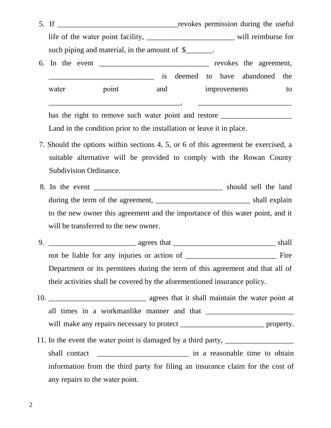| revokes permission during the useful<br>5. If |       |     |                                 |              |  |  |    |  |
|-----------------------------------------------|-------|-----|---------------------------------|--------------|--|--|----|--|
|                                               |       |     |                                 |              |  |  |    |  |
| such piping and material, in the amount of \$ |       |     |                                 |              |  |  |    |  |
| revokes the agreement,                        |       |     |                                 |              |  |  |    |  |
|                                               |       |     | is deemed to have abandoned the |              |  |  |    |  |
| water                                         | point | and |                                 | improvements |  |  | to |  |
|                                               |       |     |                                 |              |  |  |    |  |

has the right to remove such water point and restore Land in the condition prior to the installation or leave it in place.

- 7. Should the options within sections 4, 5, or 6 of this agreement be exercised, a suitable alternative will be provided to comply with the Rowan County Subdivision Ordinance.
- 8. In the event \_\_\_\_\_\_\_\_\_\_\_\_\_\_\_\_\_\_\_\_\_\_\_\_\_\_\_\_\_\_\_\_\_\_ should sell the land during the term of the agreement, shall explain to the new owner this agreement and the importance of this water point, and it will be transferred to the new owner.

9. \_\_\_\_\_\_\_\_\_\_\_\_\_\_\_\_\_\_\_\_\_\_\_ agrees that \_\_\_\_\_\_\_\_\_\_\_\_\_\_\_\_\_\_\_\_\_\_\_\_\_\_\_ shall not be liable for any injuries or action of Fire Department or its permitees during the term of this agreement and that all of their activities shall be covered by the aforementioned insurance policy.

- 10. \_\_\_\_\_\_\_\_\_\_\_\_\_\_\_\_\_\_\_\_\_\_\_\_\_\_ agrees that it shall maintain the water point at all times in a workmanlike manner and that will make any repairs necessary to protect \_\_\_\_\_\_\_\_\_\_\_\_\_\_\_\_\_\_\_\_\_\_\_\_\_\_\_\_\_\_\_ property.
- 11. In the event the water point is damaged by a third party, \_\_\_\_\_\_\_\_\_\_\_\_\_\_\_\_\_\_\_ shall contact \_\_\_\_\_\_\_\_\_\_\_\_\_\_\_\_\_\_\_\_\_\_\_\_\_\_\_\_\_\_\_\_ in a reasonable time to obtain information from the third party for filing an insurance claim for the cost of any repairs to the water point.